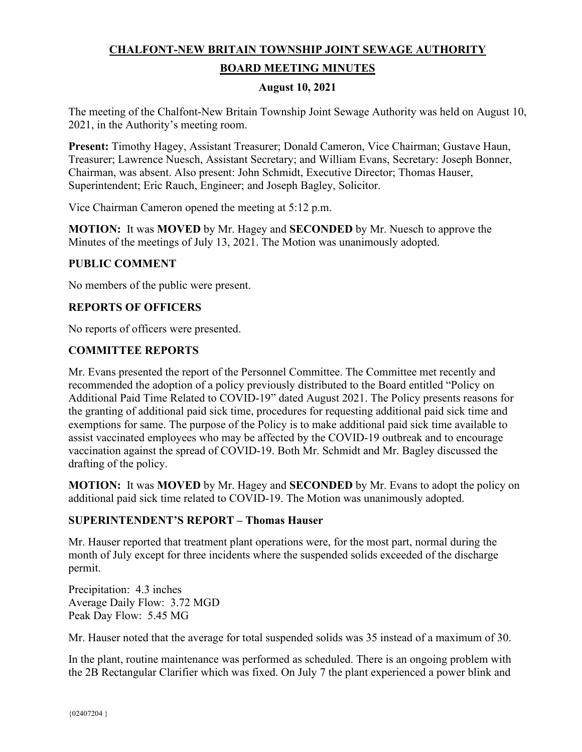# **CHALFONT-NEW BRITAIN TOWNSHIP JOINT SEWAGE AUTHORITY BOARD MEETING MINUTES**

### **August 10, 2021**

The meeting of the Chalfont-New Britain Township Joint Sewage Authority was held on August 10, 2021, in the Authority's meeting room.

**Present:** Timothy Hagey, Assistant Treasurer; Donald Cameron, Vice Chairman; Gustave Haun, Treasurer; Lawrence Nuesch, Assistant Secretary; and William Evans, Secretary: Joseph Bonner, Chairman, was absent. Also present: John Schmidt, Executive Director; Thomas Hauser, Superintendent; Eric Rauch, Engineer; and Joseph Bagley, Solicitor.

Vice Chairman Cameron opened the meeting at 5:12 p.m.

**MOTION:** It was **MOVED** by Mr. Hagey and **SECONDED** by Mr. Nuesch to approve the Minutes of the meetings of July 13, 2021. The Motion was unanimously adopted.

#### **PUBLIC COMMENT**

No members of the public were present.

### **REPORTS OF OFFICERS**

No reports of officers were presented.

### **COMMITTEE REPORTS**

Mr. Evans presented the report of the Personnel Committee. The Committee met recently and recommended the adoption of a policy previously distributed to the Board entitled "Policy on Additional Paid Time Related to COVID-19" dated August 2021. The Policy presents reasons for the granting of additional paid sick time, procedures for requesting additional paid sick time and exemptions for same. The purpose of the Policy is to make additional paid sick time available to assist vaccinated employees who may be affected by the COVID-19 outbreak and to encourage vaccination against the spread of COVID-19. Both Mr. Schmidt and Mr. Bagley discussed the drafting of the policy.

**MOTION:** It was **MOVED** by Mr. Hagey and **SECONDED** by Mr. Evans to adopt the policy on additional paid sick time related to COVID-19. The Motion was unanimously adopted.

### **SUPERINTENDENT'S REPORT – Thomas Hauser**

Mr. Hauser reported that treatment plant operations were, for the most part, normal during the month of July except for three incidents where the suspended solids exceeded of the discharge permit.

Precipitation: 4.3 inches Average Daily Flow: 3.72 MGD Peak Day Flow: 5.45 MG

Mr. Hauser noted that the average for total suspended solids was 35 instead of a maximum of 30.

In the plant, routine maintenance was performed as scheduled. There is an ongoing problem with the 2B Rectangular Clarifier which was fixed. On July 7 the plant experienced a power blink and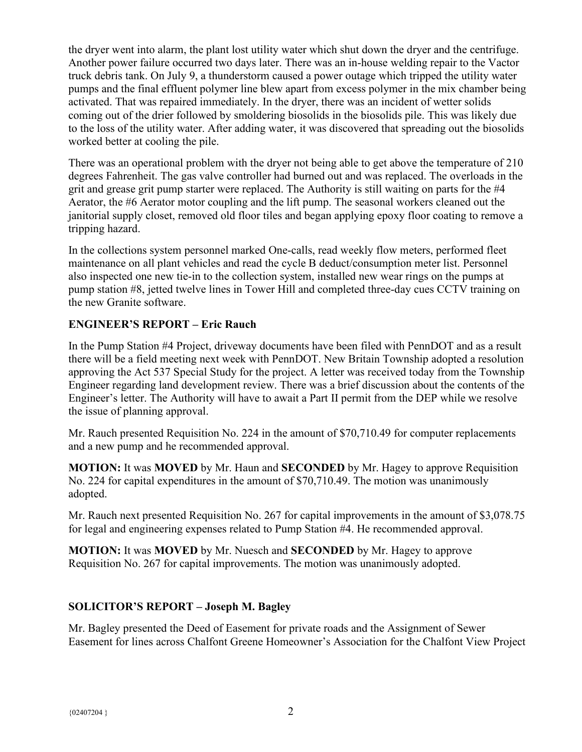the dryer went into alarm, the plant lost utility water which shut down the dryer and the centrifuge. Another power failure occurred two days later. There was an in-house welding repair to the Vactor truck debris tank. On July 9, a thunderstorm caused a power outage which tripped the utility water pumps and the final effluent polymer line blew apart from excess polymer in the mix chamber being activated. That was repaired immediately. In the dryer, there was an incident of wetter solids coming out of the drier followed by smoldering biosolids in the biosolids pile. This was likely due to the loss of the utility water. After adding water, it was discovered that spreading out the biosolids worked better at cooling the pile.

There was an operational problem with the dryer not being able to get above the temperature of 210 degrees Fahrenheit. The gas valve controller had burned out and was replaced. The overloads in the grit and grease grit pump starter were replaced. The Authority is still waiting on parts for the #4 Aerator, the #6 Aerator motor coupling and the lift pump. The seasonal workers cleaned out the janitorial supply closet, removed old floor tiles and began applying epoxy floor coating to remove a tripping hazard.

In the collections system personnel marked One-calls, read weekly flow meters, performed fleet maintenance on all plant vehicles and read the cycle B deduct/consumption meter list. Personnel also inspected one new tie-in to the collection system, installed new wear rings on the pumps at pump station #8, jetted twelve lines in Tower Hill and completed three-day cues CCTV training on the new Granite software.

# **ENGINEER'S REPORT – Eric Rauch**

In the Pump Station #4 Project, driveway documents have been filed with PennDOT and as a result there will be a field meeting next week with PennDOT. New Britain Township adopted a resolution approving the Act 537 Special Study for the project. A letter was received today from the Township Engineer regarding land development review. There was a brief discussion about the contents of the Engineer's letter. The Authority will have to await a Part II permit from the DEP while we resolve the issue of planning approval.

Mr. Rauch presented Requisition No. 224 in the amount of \$70,710.49 for computer replacements and a new pump and he recommended approval.

**MOTION:** It was **MOVED** by Mr. Haun and **SECONDED** by Mr. Hagey to approve Requisition No. 224 for capital expenditures in the amount of \$70,710.49. The motion was unanimously adopted.

Mr. Rauch next presented Requisition No. 267 for capital improvements in the amount of \$3,078.75 for legal and engineering expenses related to Pump Station #4. He recommended approval.

**MOTION:** It was **MOVED** by Mr. Nuesch and **SECONDED** by Mr. Hagey to approve Requisition No. 267 for capital improvements. The motion was unanimously adopted.

# **SOLICITOR'S REPORT – Joseph M. Bagley**

Mr. Bagley presented the Deed of Easement for private roads and the Assignment of Sewer Easement for lines across Chalfont Greene Homeowner's Association for the Chalfont View Project